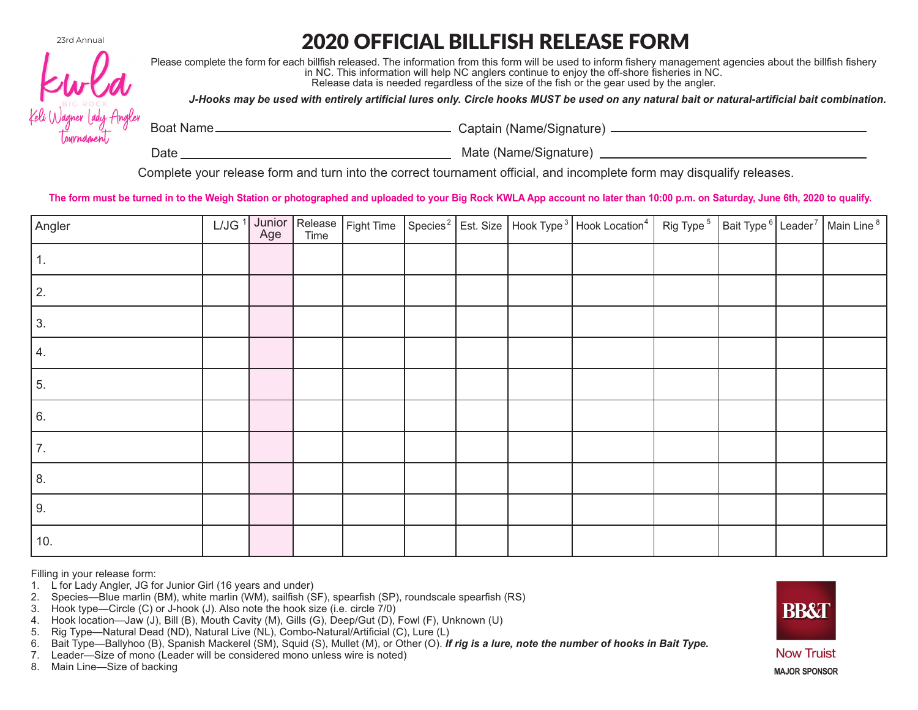23rd Annual

## 2020 OFFICIAL BILLFISH RELEASE FORM



Please complete the form for each billfish released. The information from this form will be used to inform fishery management agencies about the billfish fishery in NC. This information will help NC anglers continue to enjoy the off-shore fisheries in NC. Release data is needed regardless of the size of the fish or the gear used by the angler.

*J-Hooks may be used with entirely artificial lures only. Circle hooks MUST be used on any natural bait or natural-artificial bait combination.*

Boat Name Captain (Name/Signature)

Date Mate (Name/Signature)

Complete your release form and turn into the correct tournament official, and incomplete form may disqualify releases.

The form must be turned in to the Weigh Station or photographed and uploaded to your Big Rock KWLA App account no later than 10:00 p.m. on Saturday, June 6th, 2020 to qualify.

| Angler |  |  |  | L/JG <sup>1</sup> Junior Release Fight Time Species <sup>2</sup> Est. Size Hook Type <sup>3</sup> Hook Location <sup>4</sup> Rig Type <sup>5</sup> Bait Type <sup>6</sup> Leader <sup>7</sup> Main Line <sup>8</sup> |  |  |
|--------|--|--|--|----------------------------------------------------------------------------------------------------------------------------------------------------------------------------------------------------------------------|--|--|
|        |  |  |  |                                                                                                                                                                                                                      |  |  |
| 2.     |  |  |  |                                                                                                                                                                                                                      |  |  |
| 3.     |  |  |  |                                                                                                                                                                                                                      |  |  |
| 4.     |  |  |  |                                                                                                                                                                                                                      |  |  |
| 5.     |  |  |  |                                                                                                                                                                                                                      |  |  |
| 6.     |  |  |  |                                                                                                                                                                                                                      |  |  |
| 7.     |  |  |  |                                                                                                                                                                                                                      |  |  |
| 8.     |  |  |  |                                                                                                                                                                                                                      |  |  |
| 9.     |  |  |  |                                                                                                                                                                                                                      |  |  |
| 10.    |  |  |  |                                                                                                                                                                                                                      |  |  |

Filling in your release form:

- 1. L for Lady Angler, JG for Junior Girl (16 years and under)
- 2. Species—Blue marlin (BM), white marlin (WM), sailfish (SF), spearfish (SP), roundscale spearfish (RS)
- 3. Hook type—Circle (C) or J-hook (J). Also note the hook size (i.e. circle 7/0)
- 4. Hook location—Jaw (J), Bill (B), Mouth Cavity (M), Gills (G), Deep/Gut (D), Fowl (F), Unknown (U)
- 5. Rig Type—Natural Dead (ND), Natural Live (NL), Combo-Natural/Artificial (C), Lure (L)
- 6. Bait Type—Ballyhoo (B), Spanish Mackerel (SM), Squid (S), Mullet (M), or Other (O). *If rig is a lure, note the number of hooks in Bait Type.*
- 7. Leader—Size of mono (Leader will be considered mono unless wire is noted)

8. Main Line—Size of backing



**Now Truist MAJOR SPONSOR**